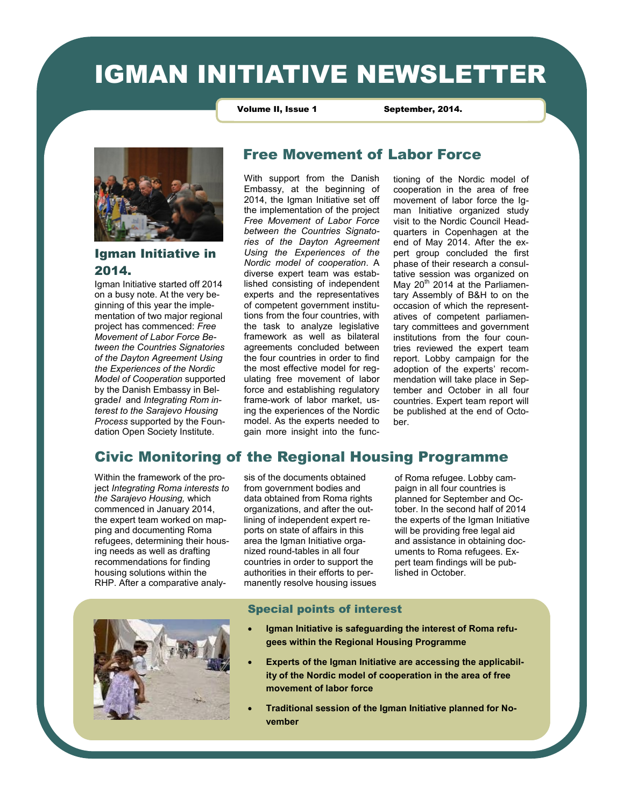# IGMAN INITIATIVE NEWSLETTER

Volume II, Issue 1 September, 2014.



#### Igman Initiative in 2014.

Igman Initiative started off 2014 on a busy note. At the very beginning of this year the implementation of two major regional project has commenced: *Free Movement of Labor Force Between the Countries Signatories of the Dayton Agreement Using the Experiences of the Nordic Model of Cooperation* supported by the Danish Embassy in Belgrade*I* and *Integrating Rom interest to the Sarajevo Housing Process* supported by the Foundation Open Society Institute.

### Free Movement of Labor Force

With support from the Danish Embassy, at the beginning of 2014, the Igman Initiative set off the implementation of the project *Free Movement of Labor Force between the Countries Signatories of the Dayton Agreement Using the Experiences of the Nordic model of cooperation*. A diverse expert team was established consisting of independent experts and the representatives of competent government institutions from the four countries, with the task to analyze legislative framework as well as bilateral agreements concluded between the four countries in order to find the most effective model for regulating free movement of labor force and establishing regulatory frame-work of labor market, using the experiences of the Nordic model. As the experts needed to gain more insight into the functioning of the Nordic model of cooperation in the area of free movement of labor force the Igman Initiative organized study visit to the Nordic Council Headquarters in Copenhagen at the end of May 2014. After the expert group concluded the first phase of their research a consultative session was organized on May 20<sup>th</sup> 2014 at the Parliamentary Assembly of B&H to on the occasion of which the representatives of competent parliamentary committees and government institutions from the four countries reviewed the expert team report. Lobby campaign for the adoption of the experts' recommendation will take place in September and October in all four countries. Expert team report will be published at the end of October.

# Civic Monitoring of the Regional Housing Programme

Within the framework of the project *Integrating Roma interests to the Sarajevo Housing,* which commenced in January 2014, the expert team worked on mapping and documenting Roma refugees, determining their housing needs as well as drafting recommendations for finding housing solutions within the RHP. After a comparative analysis of the documents obtained from government bodies and data obtained from Roma rights organizations, and after the outlining of independent expert reports on state of affairs in this area the Igman Initiative organized round-tables in all four countries in order to support the authorities in their efforts to permanently resolve housing issues of Roma refugee. Lobby campaign in all four countries is planned for September and October. In the second half of 2014 the experts of the Igman Initiative will be providing free legal aid and assistance in obtaining documents to Roma refugees. Expert team findings will be published in October.



#### Special points of interest

- **Igman Initiative is safeguarding the interest of Roma refugees within the Regional Housing Programme**
- **Experts of the Igman Initiative are accessing the applicability of the Nordic model of cooperation in the area of free movement of labor force**
- **Traditional session of the Igman Initiative planned for November**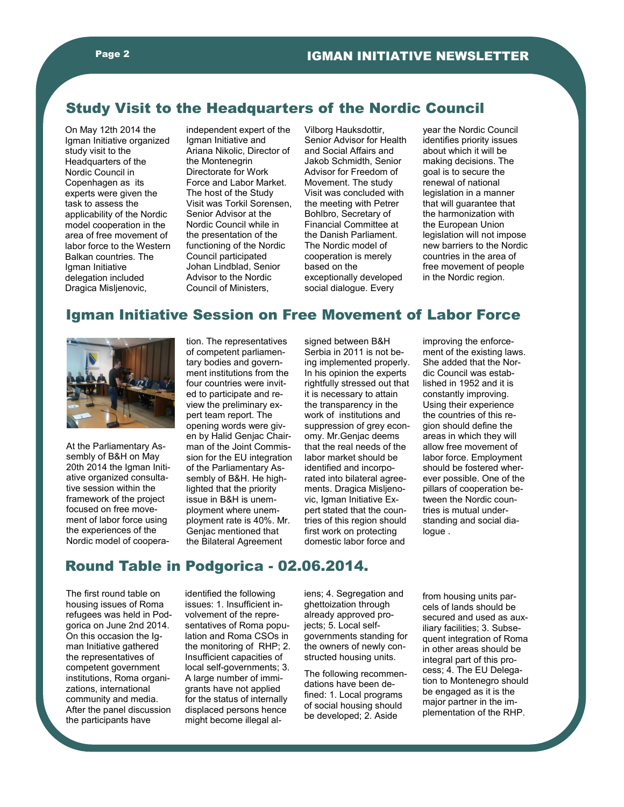## Study Visit to the Headquarters of the Nordic Council

On May 12th 2014 the Igman Initiative organized study visit to the Headquarters of the Nordic Council in Copenhagen as its experts were given the task to assess the applicability of the Nordic model cooperation in the area of free movement of labor force to the Western Balkan countries. The Igman Initiative delegation included Dragica Misljenovic,

independent expert of the Igman Initiative and Ariana Nikolic, Director of the Montenegrin Directorate for Work Force and Labor Market. The host of the Study Visit was Torkil Sorensen, Senior Advisor at the Nordic Council while in the presentation of the functioning of the Nordic Council participated Johan Lindblad, Senior Advisor to the Nordic Council of Ministers,

Vilborg Hauksdottir, Senior Advisor for Health and Social Affairs and Jakob Schmidth, Senior Advisor for Freedom of Movement. The study Visit was concluded with the meeting with Petrer Bohlbro, Secretary of Financial Committee at the Danish Parliament. The Nordic model of cooperation is merely based on the exceptionally developed social dialogue. Every

year the Nordic Council identifies priority issues about which it will be making decisions. The goal is to secure the renewal of national legislation in a manner that will guarantee that the harmonization with the European Union legislation will not impose new barriers to the Nordic countries in the area of free movement of people in the Nordic region.

# Igman Initiative Session on Free Movement of Labor Force



At the Parliamentary Assembly of B&H on May 20th 2014 the Igman Initiative organized consultative session within the framework of the project focused on free movement of labor force using the experiences of the Nordic model of cooperation. The representatives of competent parliamentary bodies and government institutions from the four countries were invited to participate and review the preliminary expert team report. The opening words were given by Halid Genjac Chairman of the Joint Commission for the EU integration of the Parliamentary Assembly of B&H. He highlighted that the priority issue in B&H is unemployment where unemployment rate is 40%. Mr. Genjac mentioned that the Bilateral Agreement

signed between B&H Serbia in 2011 is not being implemented properly. In his opinion the experts rightfully stressed out that it is necessary to attain the transparency in the work of institutions and suppression of grey economy. Mr.Genjac deems that the real needs of the labor market should be identified and incorporated into bilateral agreements. Dragica Misljenovic, Igman Initiative Expert stated that the countries of this region should first work on protecting domestic labor force and

improving the enforcement of the existing laws. She added that the Nordic Council was established in 1952 and it is constantly improving. Using their experience the countries of this region should define the areas in which they will allow free movement of labor force. Employment should be fostered wherever possible. One of the pillars of cooperation between the Nordic countries is mutual understanding and social dialogue .

# Round Table in Podgorica - 02.06.2014.

The first round table on housing issues of Roma refugees was held in Podgorica on June 2nd 2014. On this occasion the Igman Initiative gathered the representatives of competent government institutions, Roma organizations, international community and media. After the panel discussion the participants have

identified the following issues: 1. Insufficient involvement of the representatives of Roma population and Roma CSOs in the monitoring of RHP; 2. Insufficient capacities of local self-governments; 3. A large number of immigrants have not applied for the status of internally displaced persons hence might become illegal aliens; 4. Segregation and ghettoization through already approved projects; 5. Local selfgovernments standing for the owners of newly constructed housing units.

The following recommendations have been defined: 1. Local programs of social housing should be developed; 2. Aside

from housing units parcels of lands should be secured and used as auxiliary facilities; 3. Subsequent integration of Roma in other areas should be integral part of this process; 4. The EU Delegation to Montenegro should be engaged as it is the major partner in the implementation of the RHP.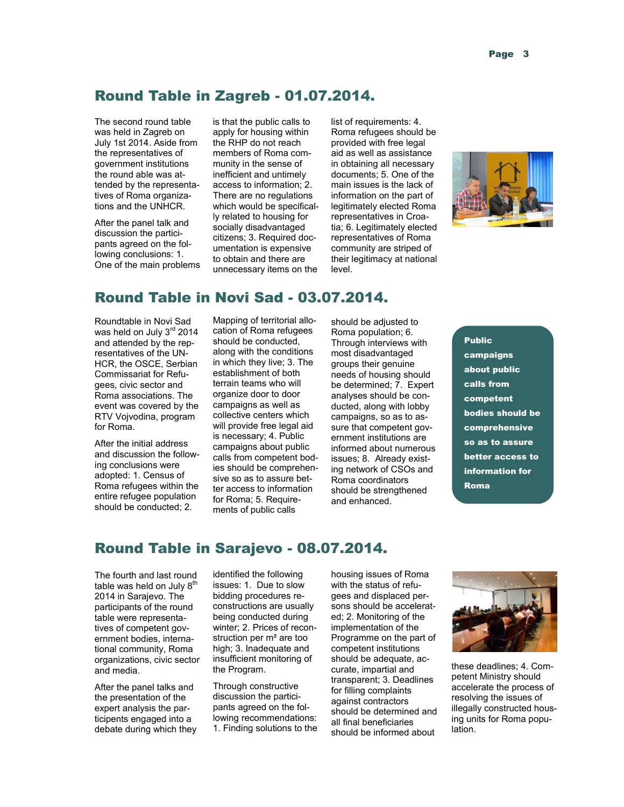## Round Table in Zagreb - 01.07.2014.

The second round table was held in Zagreb on July 1st 2014. Aside from the representatives of government institutions the round able was attended by the representatives of Roma organizations and the UNHCR.

After the panel talk and discussion the participants agreed on the following conclusions: 1. One of the main problems

is that the public calls to apply for housing within the RHP do not reach members of Roma community in the sense of inefficient and untimely access to information; 2. There are no regulations which would be specifically related to housing for socially disadvantaged citizens; 3. Required documentation is expensive to obtain and there are unnecessary items on the

list of requirements: 4. Roma refugees should be provided with free legal aid as well as assistance in obtaining all necessary documents; 5. One of the main issues is the lack of information on the part of legitimately elected Roma representatives in Croatia; 6. Legitimately elected representatives of Roma community are striped of their legitimacy at national level.



# Round Table in Novi Sad - 03.07.2014.

Roundtable in Novi Sad was held on July 3rd 2014 and attended by the representatives of the UN-HCR, the OSCE, Serbian Commissariat for Refugees, civic sector and Roma associations. The event was covered by the RTV Vojvodina, program for Roma.

After the initial address and discussion the following conclusions were adopted: 1. Census of Roma refugees within the entire refugee population should be conducted; 2.

Mapping of territorial allocation of Roma refugees should be conducted, along with the conditions in which they live; 3. The establishment of both terrain teams who will organize door to door campaigns as well as collective centers which will provide free legal aid is necessary; 4. Public campaigns about public calls from competent bodies should be comprehensive so as to assure better access to information for Roma; 5. Requirements of public calls

should be adjusted to Roma population; 6. Through interviews with most disadvantaged groups their genuine needs of housing should be determined; 7. Expert analyses should be conducted, along with lobby campaigns, so as to assure that competent government institutions are informed about numerous issues; 8. Already existing network of CSOs and Roma coordinators should be strengthened and enhanced.

Public campaigns about public calls from competent bodies should be comprehensive so as to assure better access to information for Roma

# Round Table in Sarajevo - 08.07.2014.

The fourth and last round table was held on July  $8<sup>th</sup>$ 2014 in Sarajevo. The participants of the round table were representatives of competent government bodies, international community, Roma organizations, civic sector and media.

After the panel talks and the presentation of the expert analysis the participents engaged into a debate during which they

identified the following issues: 1. Due to slow bidding procedures reconstructions are usually being conducted during winter; 2. Prices of reconstruction per m² are too high; 3. Inadequate and insufficient monitoring of the Program.

Through constructive discussion the participants agreed on the following recommendations: 1. Finding solutions to the housing issues of Roma with the status of refugees and displaced persons should be accelerated; 2. Monitoring of the implementation of the Programme on the part of competent institutions should be adequate, accurate, impartial and transparent; 3. Deadlines for filling complaints against contractors should be determined and all final beneficiaries should be informed about



these deadlines; 4. Competent Ministry should accelerate the process of resolving the issues of illegally constructed housing units for Roma population.